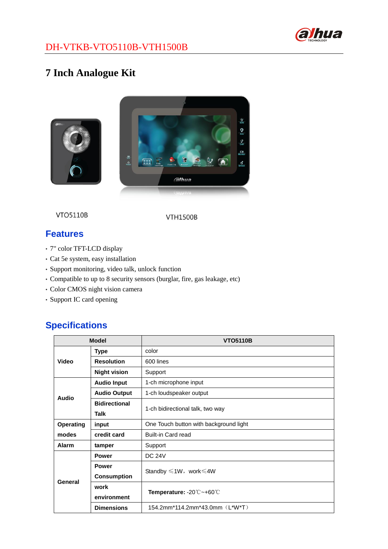

#### DH-VTKB-VTO5110B-VTH1500B

# **7 Inch Analogue Kit**



**VTO5110B** 

**VTH1500B** 

## **Features**

- 7" color TFT-LCD display
- Cat 5e system, easy installation
- Support monitoring, video talk, unlock function
- Compatible to up to 8 security sensors (burglar, fire, gas leakage, etc)
- Color CMOS night vision camera
- Support IC card opening

### **Specifications**

| <b>Model</b>     |                      | <b>VTO5110B</b>                                                        |
|------------------|----------------------|------------------------------------------------------------------------|
| Video            | <b>Type</b>          | color                                                                  |
|                  | <b>Resolution</b>    | 600 lines                                                              |
|                  | <b>Night vision</b>  | Support                                                                |
| <b>Audio</b>     | <b>Audio Input</b>   | 1-ch microphone input                                                  |
|                  | <b>Audio Output</b>  | 1-ch loudspeaker output                                                |
|                  | <b>Bidirectional</b> | 1-ch bidirectional talk, two way                                       |
|                  | Talk                 |                                                                        |
| <b>Operating</b> | input                | One Touch button with background light                                 |
| modes            | credit card          | <b>Built-in Card read</b>                                              |
| Alarm            | tamper               | Support                                                                |
| General          | <b>Power</b>         | <b>DC 24V</b>                                                          |
|                  | <b>Power</b>         | Standby $\leq 1W$ , work $\leq 4W$                                     |
|                  | <b>Consumption</b>   |                                                                        |
|                  | work                 | <b>Temperature: -20 <math>\degree</math> ~+60 <math>\degree</math></b> |
|                  | environment          |                                                                        |
|                  | <b>Dimensions</b>    | 154.2mm*114.2mm*43.0mm (L*W*T)                                         |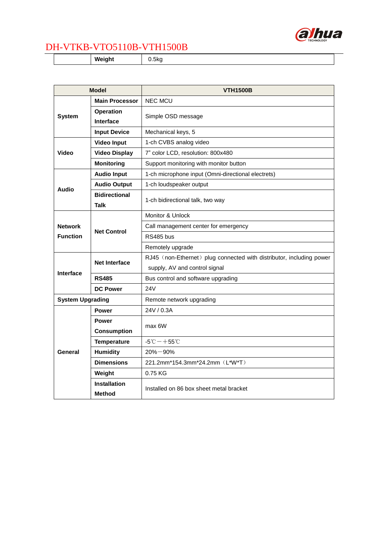

#### DH-VTKB-VTO5110B-VTH1500B

**Weight** 0.5kg

| <b>Model</b>            |                                     | <b>VTH1500B</b>                                                      |
|-------------------------|-------------------------------------|----------------------------------------------------------------------|
| <b>System</b>           | <b>Main Processor</b>               | <b>NEC MCU</b>                                                       |
|                         | <b>Operation</b>                    | Simple OSD message                                                   |
|                         | <b>Interface</b>                    |                                                                      |
|                         | <b>Input Device</b>                 | Mechanical keys, 5                                                   |
| <b>Video</b>            | <b>Video Input</b>                  | 1-ch CVBS analog video                                               |
|                         | <b>Video Display</b>                | 7" color LCD, resolution: 800x480                                    |
|                         | <b>Monitoring</b>                   | Support monitoring with monitor button                               |
| <b>Audio</b>            | <b>Audio Input</b>                  | 1-ch microphone input (Omni-directional electrets)                   |
|                         | <b>Audio Output</b>                 | 1-ch loudspeaker output                                              |
|                         | <b>Bidirectional</b><br><b>Talk</b> | 1-ch bidirectional talk, two way                                     |
|                         | <b>Net Control</b>                  | Monitor & Unlock                                                     |
| <b>Network</b>          |                                     | Call management center for emergency                                 |
| <b>Function</b>         |                                     | RS485 bus                                                            |
|                         |                                     | Remotely upgrade                                                     |
|                         | <b>Net Interface</b>                | RJ45 (non-Ethernet) plug connected with distributor, including power |
|                         |                                     | supply, AV and control signal                                        |
| <b>Interface</b>        | <b>RS485</b>                        | Bus control and software upgrading                                   |
|                         | <b>DC Power</b>                     | 24V                                                                  |
| <b>System Upgrading</b> |                                     | Remote network upgrading                                             |
| General                 | <b>Power</b>                        | 24V / 0.3A                                                           |
|                         | <b>Power</b>                        | max 6W                                                               |
|                         | <b>Consumption</b>                  |                                                                      |
|                         | <b>Temperature</b>                  | $-5^{\circ}$ C $-+55^{\circ}$ C                                      |
|                         | <b>Humidity</b>                     | $20\% - 90\%$                                                        |
|                         | <b>Dimensions</b>                   | 221.2mm*154.3mm*24.2mm (L*W*T)                                       |
|                         | Weight                              | 0.75 KG                                                              |
|                         | <b>Installation</b>                 | Installed on 86 box sheet metal bracket                              |
|                         | Method                              |                                                                      |